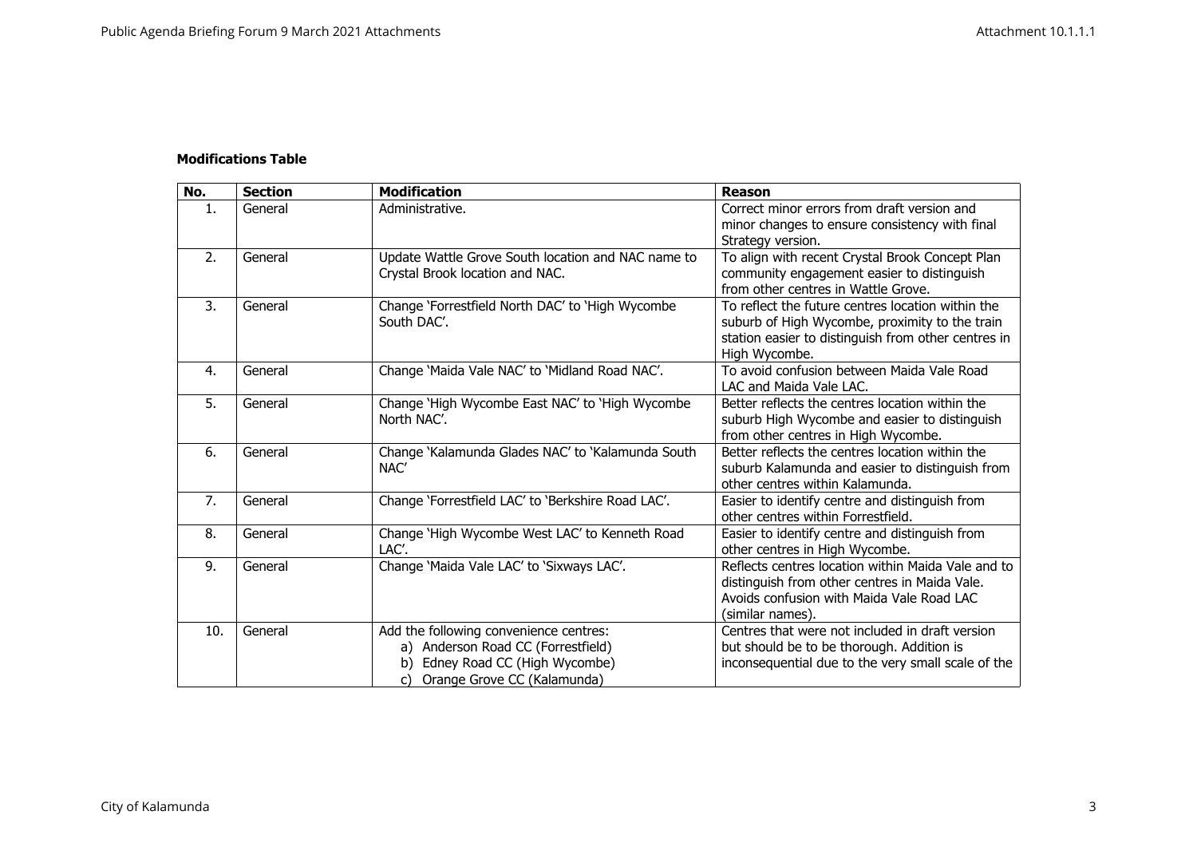## **Modifications Table**

| No. | <b>Section</b> | <b>Modification</b>                                                                                                                                     | <b>Reason</b>                                                                                                                                                               |
|-----|----------------|---------------------------------------------------------------------------------------------------------------------------------------------------------|-----------------------------------------------------------------------------------------------------------------------------------------------------------------------------|
| 1.  | General        | Administrative.                                                                                                                                         | Correct minor errors from draft version and<br>minor changes to ensure consistency with final<br>Strategy version.                                                          |
| 2.  | General        | Update Wattle Grove South location and NAC name to<br>Crystal Brook location and NAC.                                                                   | To align with recent Crystal Brook Concept Plan<br>community engagement easier to distinguish<br>from other centres in Wattle Grove.                                        |
| 3.  | General        | Change 'Forrestfield North DAC' to 'High Wycombe<br>South DAC'.                                                                                         | To reflect the future centres location within the<br>suburb of High Wycombe, proximity to the train<br>station easier to distinguish from other centres in<br>High Wycombe. |
| 4.  | General        | Change 'Maida Vale NAC' to 'Midland Road NAC'.                                                                                                          | To avoid confusion between Maida Vale Road<br>LAC and Maida Vale LAC.                                                                                                       |
| 5.  | General        | Change 'High Wycombe East NAC' to 'High Wycombe<br>North NAC'.                                                                                          | Better reflects the centres location within the<br>suburb High Wycombe and easier to distinguish<br>from other centres in High Wycombe.                                     |
| 6.  | General        | Change 'Kalamunda Glades NAC' to 'Kalamunda South<br>NAC'                                                                                               | Better reflects the centres location within the<br>suburb Kalamunda and easier to distinguish from<br>other centres within Kalamunda.                                       |
| 7.  | General        | Change 'Forrestfield LAC' to 'Berkshire Road LAC'.                                                                                                      | Easier to identify centre and distinguish from<br>other centres within Forrestfield.                                                                                        |
| 8.  | General        | Change 'High Wycombe West LAC' to Kenneth Road<br>LAC'.                                                                                                 | Easier to identify centre and distinguish from<br>other centres in High Wycombe.                                                                                            |
| 9.  | General        | Change 'Maida Vale LAC' to 'Sixways LAC'.                                                                                                               | Reflects centres location within Maida Vale and to<br>distinguish from other centres in Maida Vale.<br>Avoids confusion with Maida Vale Road LAC<br>(similar names).        |
| 10. | General        | Add the following convenience centres:<br>a) Anderson Road CC (Forrestfield)<br>Edney Road CC (High Wycombe)<br>b)<br>Orange Grove CC (Kalamunda)<br>C) | Centres that were not included in draft version<br>but should be to be thorough. Addition is<br>inconsequential due to the very small scale of the                          |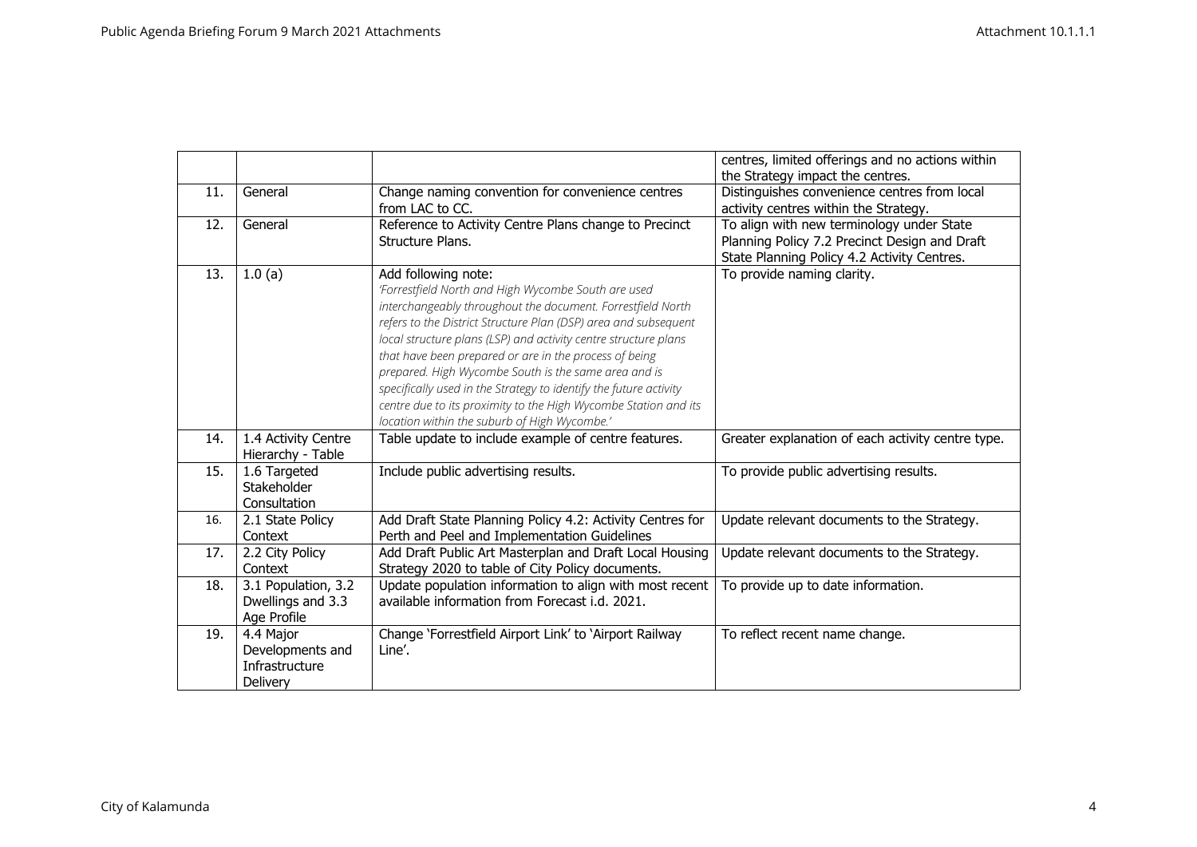|     |                     |                                                                   | centres, limited offerings and no actions within  |
|-----|---------------------|-------------------------------------------------------------------|---------------------------------------------------|
|     |                     |                                                                   | the Strategy impact the centres.                  |
| 11. | General             | Change naming convention for convenience centres                  | Distinguishes convenience centres from local      |
|     |                     | from LAC to CC.                                                   | activity centres within the Strategy.             |
| 12. | General             | Reference to Activity Centre Plans change to Precinct             | To align with new terminology under State         |
|     |                     | Structure Plans.                                                  | Planning Policy 7.2 Precinct Design and Draft     |
|     |                     |                                                                   | State Planning Policy 4.2 Activity Centres.       |
| 13. | 1.0(a)              | Add following note:                                               | To provide naming clarity.                        |
|     |                     | 'Forrestfield North and High Wycombe South are used               |                                                   |
|     |                     | interchangeably throughout the document. Forrestfield North       |                                                   |
|     |                     | refers to the District Structure Plan (DSP) area and subsequent   |                                                   |
|     |                     | local structure plans (LSP) and activity centre structure plans   |                                                   |
|     |                     | that have been prepared or are in the process of being            |                                                   |
|     |                     | prepared. High Wycombe South is the same area and is              |                                                   |
|     |                     | specifically used in the Strategy to identify the future activity |                                                   |
|     |                     | centre due to its proximity to the High Wycombe Station and its   |                                                   |
|     |                     | location within the suburb of High Wycombe.'                      |                                                   |
| 14. | 1.4 Activity Centre | Table update to include example of centre features.               | Greater explanation of each activity centre type. |
|     | Hierarchy - Table   |                                                                   |                                                   |
| 15. | 1.6 Targeted        | Include public advertising results.                               | To provide public advertising results.            |
|     | Stakeholder         |                                                                   |                                                   |
|     | Consultation        |                                                                   |                                                   |
| 16. | 2.1 State Policy    | Add Draft State Planning Policy 4.2: Activity Centres for         | Update relevant documents to the Strategy.        |
|     | Context             | Perth and Peel and Implementation Guidelines                      |                                                   |
| 17. | 2.2 City Policy     | Add Draft Public Art Masterplan and Draft Local Housing           | Update relevant documents to the Strategy.        |
|     | Context             | Strategy 2020 to table of City Policy documents.                  |                                                   |
| 18. | 3.1 Population, 3.2 | Update population information to align with most recent           | To provide up to date information.                |
|     | Dwellings and 3.3   | available information from Forecast i.d. 2021.                    |                                                   |
|     | Age Profile         |                                                                   |                                                   |
| 19. | 4.4 Major           | Change 'Forrestfield Airport Link' to 'Airport Railway            | To reflect recent name change.                    |
|     | Developments and    | Line'.                                                            |                                                   |
|     | Infrastructure      |                                                                   |                                                   |
|     | Delivery            |                                                                   |                                                   |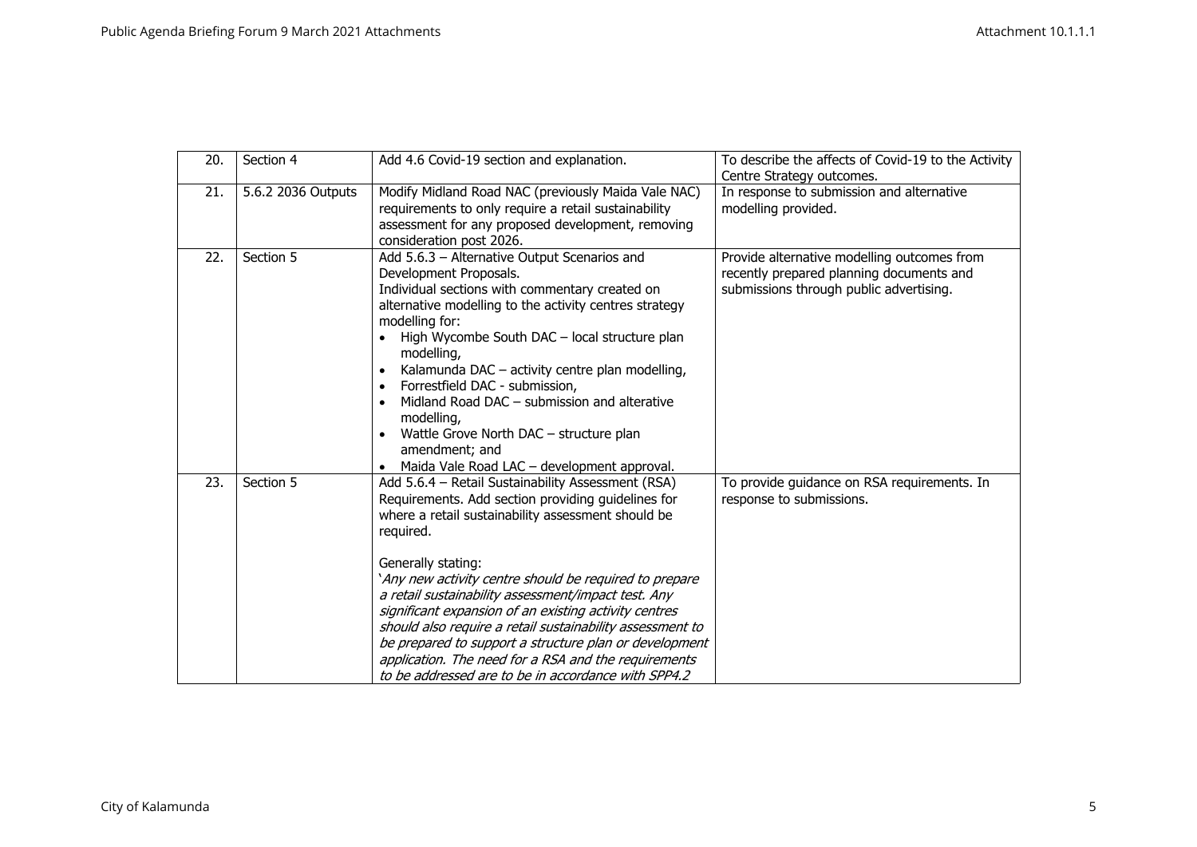| 20. | Section 4          | Add 4.6 Covid-19 section and explanation.                                                                                                                                                                                                                                                                                                                                                                                                                                                                                                                                                                         | To describe the affects of Covid-19 to the Activity<br>Centre Strategy outcomes.                                                   |
|-----|--------------------|-------------------------------------------------------------------------------------------------------------------------------------------------------------------------------------------------------------------------------------------------------------------------------------------------------------------------------------------------------------------------------------------------------------------------------------------------------------------------------------------------------------------------------------------------------------------------------------------------------------------|------------------------------------------------------------------------------------------------------------------------------------|
| 21. | 5.6.2 2036 Outputs | Modify Midland Road NAC (previously Maida Vale NAC)<br>requirements to only require a retail sustainability<br>assessment for any proposed development, removing<br>consideration post 2026.                                                                                                                                                                                                                                                                                                                                                                                                                      | In response to submission and alternative<br>modelling provided.                                                                   |
| 22. | Section 5          | Add 5.6.3 - Alternative Output Scenarios and<br>Development Proposals.<br>Individual sections with commentary created on<br>alternative modelling to the activity centres strategy<br>modelling for:<br>High Wycombe South DAC - local structure plan<br>modelling,<br>Kalamunda DAC - activity centre plan modelling,<br>Forrestfield DAC - submission,<br>Midland Road DAC - submission and alterative<br>modelling,<br>Wattle Grove North DAC - structure plan<br>amendment; and<br>Maida Vale Road LAC - development approval.<br>$\bullet$                                                                   | Provide alternative modelling outcomes from<br>recently prepared planning documents and<br>submissions through public advertising. |
| 23. | Section 5          | Add 5.6.4 - Retail Sustainability Assessment (RSA)<br>Requirements. Add section providing guidelines for<br>where a retail sustainability assessment should be<br>required.<br>Generally stating:<br>'Any new activity centre should be required to prepare<br>a retail sustainability assessment/impact test. Any<br>significant expansion of an existing activity centres<br>should also require a retail sustainability assessment to<br>be prepared to support a structure plan or development<br>application. The need for a RSA and the requirements<br>to be addressed are to be in accordance with SPP4.2 | To provide guidance on RSA requirements. In<br>response to submissions.                                                            |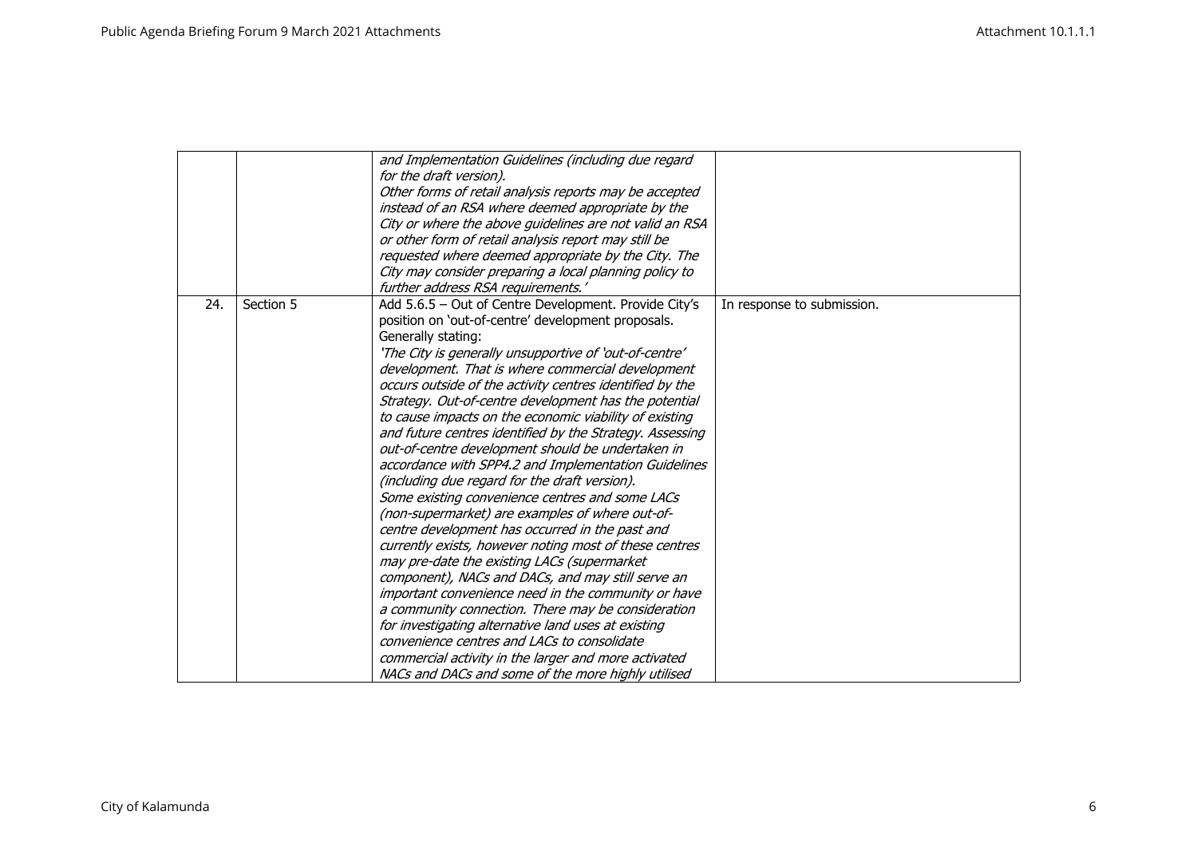|     |           | and Implementation Guidelines (including due regard      |                            |
|-----|-----------|----------------------------------------------------------|----------------------------|
|     |           | for the draft version).                                  |                            |
|     |           | Other forms of retail analysis reports may be accepted   |                            |
|     |           | instead of an RSA where deemed appropriate by the        |                            |
|     |           | City or where the above guidelines are not valid an RSA  |                            |
|     |           | or other form of retail analysis report may still be     |                            |
|     |           | requested where deemed appropriate by the City. The      |                            |
|     |           | City may consider preparing a local planning policy to   |                            |
|     |           | further address RSA requirements.'                       |                            |
| 24. | Section 5 | Add 5.6.5 - Out of Centre Development. Provide City's    | In response to submission. |
|     |           | position on 'out-of-centre' development proposals.       |                            |
|     |           | Generally stating:                                       |                            |
|     |           | 'The City is generally unsupportive of 'out-of-centre'   |                            |
|     |           | development. That is where commercial development        |                            |
|     |           | occurs outside of the activity centres identified by the |                            |
|     |           | Strategy. Out-of-centre development has the potential    |                            |
|     |           | to cause impacts on the economic viability of existing   |                            |
|     |           | and future centres identified by the Strategy. Assessing |                            |
|     |           | out-of-centre development should be undertaken in        |                            |
|     |           | accordance with SPP4.2 and Implementation Guidelines     |                            |
|     |           | (including due regard for the draft version).            |                            |
|     |           | Some existing convenience centres and some LACs          |                            |
|     |           | (non-supermarket) are examples of where out-of-          |                            |
|     |           | centre development has occurred in the past and          |                            |
|     |           | currently exists, however noting most of these centres   |                            |
|     |           | may pre-date the existing LACs (supermarket              |                            |
|     |           | component), NACs and DACs, and may still serve an        |                            |
|     |           | important convenience need in the community or have      |                            |
|     |           | a community connection. There may be consideration       |                            |
|     |           | for investigating alternative land uses at existing      |                            |
|     |           | convenience centres and LACs to consolidate              |                            |
|     |           | commercial activity in the larger and more activated     |                            |
|     |           | NACs and DACs and some of the more highly utilised       |                            |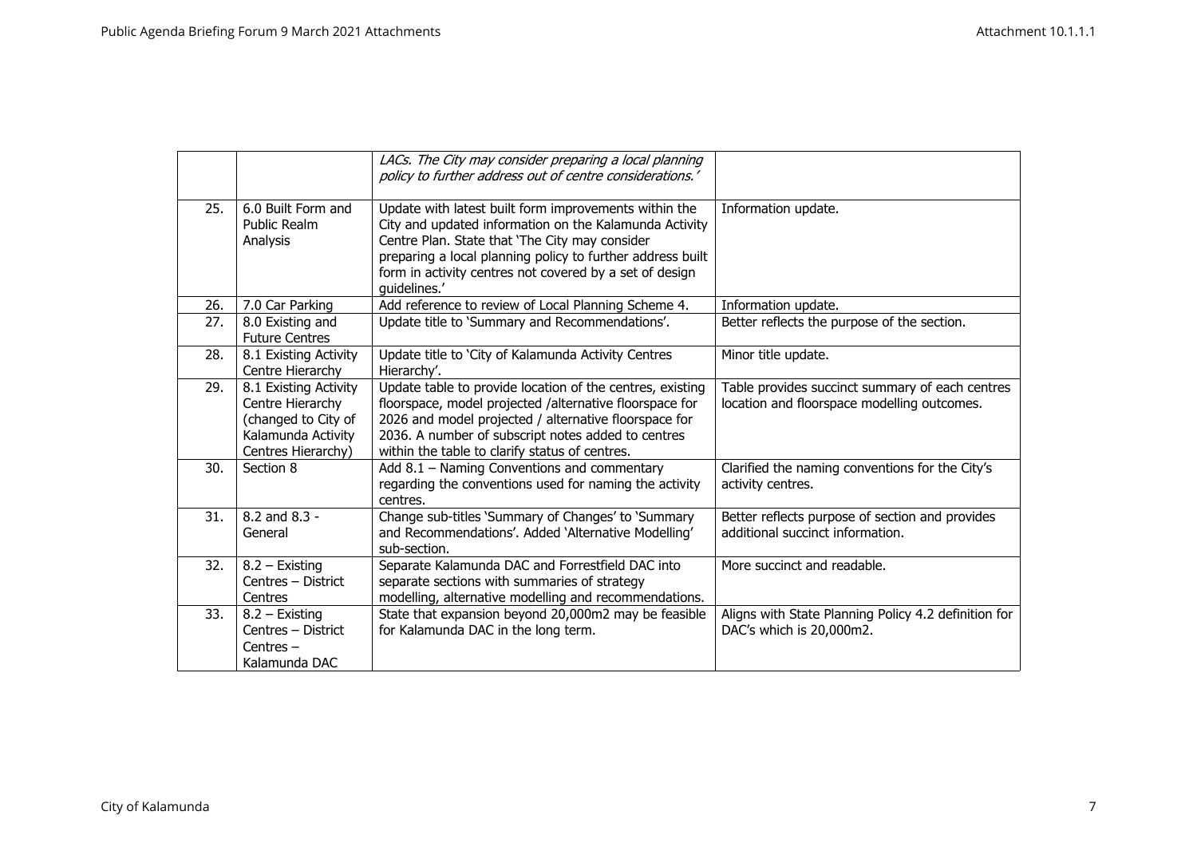|     |                                                                                                              | LACs. The City may consider preparing a local planning                                                                                                                                                                                                                                                     |                                                                                                |
|-----|--------------------------------------------------------------------------------------------------------------|------------------------------------------------------------------------------------------------------------------------------------------------------------------------------------------------------------------------------------------------------------------------------------------------------------|------------------------------------------------------------------------------------------------|
|     |                                                                                                              | policy to further address out of centre considerations.'                                                                                                                                                                                                                                                   |                                                                                                |
| 25. | 6.0 Built Form and<br>Public Realm<br>Analysis                                                               | Update with latest built form improvements within the<br>City and updated information on the Kalamunda Activity<br>Centre Plan. State that 'The City may consider<br>preparing a local planning policy to further address built<br>form in activity centres not covered by a set of design<br>quidelines.' | Information update.                                                                            |
| 26. | 7.0 Car Parking                                                                                              | Add reference to review of Local Planning Scheme 4.                                                                                                                                                                                                                                                        | Information update.                                                                            |
| 27. | 8.0 Existing and<br><b>Future Centres</b>                                                                    | Update title to 'Summary and Recommendations'.                                                                                                                                                                                                                                                             | Better reflects the purpose of the section.                                                    |
| 28. | 8.1 Existing Activity<br>Centre Hierarchy                                                                    | Update title to 'City of Kalamunda Activity Centres<br>Hierarchy'.                                                                                                                                                                                                                                         | Minor title update.                                                                            |
| 29. | 8.1 Existing Activity<br>Centre Hierarchy<br>(changed to City of<br>Kalamunda Activity<br>Centres Hierarchy) | Update table to provide location of the centres, existing<br>floorspace, model projected /alternative floorspace for<br>2026 and model projected / alternative floorspace for<br>2036. A number of subscript notes added to centres<br>within the table to clarify status of centres.                      | Table provides succinct summary of each centres<br>location and floorspace modelling outcomes. |
| 30. | Section 8                                                                                                    | Add 8.1 - Naming Conventions and commentary<br>regarding the conventions used for naming the activity<br>centres.                                                                                                                                                                                          | Clarified the naming conventions for the City's<br>activity centres.                           |
| 31. | 8.2 and 8.3 -<br>General                                                                                     | Change sub-titles 'Summary of Changes' to 'Summary<br>and Recommendations'. Added 'Alternative Modelling'<br>sub-section.                                                                                                                                                                                  | Better reflects purpose of section and provides<br>additional succinct information.            |
| 32. | 8.2 - Existing<br>Centres - District<br>Centres                                                              | Separate Kalamunda DAC and Forrestfield DAC into<br>separate sections with summaries of strategy<br>modelling, alternative modelling and recommendations.                                                                                                                                                  | More succinct and readable.                                                                    |
| 33. | 8.2 - Existing<br>Centres - District<br>Centres-<br>Kalamunda DAC                                            | State that expansion beyond 20,000m2 may be feasible<br>for Kalamunda DAC in the long term.                                                                                                                                                                                                                | Aligns with State Planning Policy 4.2 definition for<br>DAC's which is 20,000m2.               |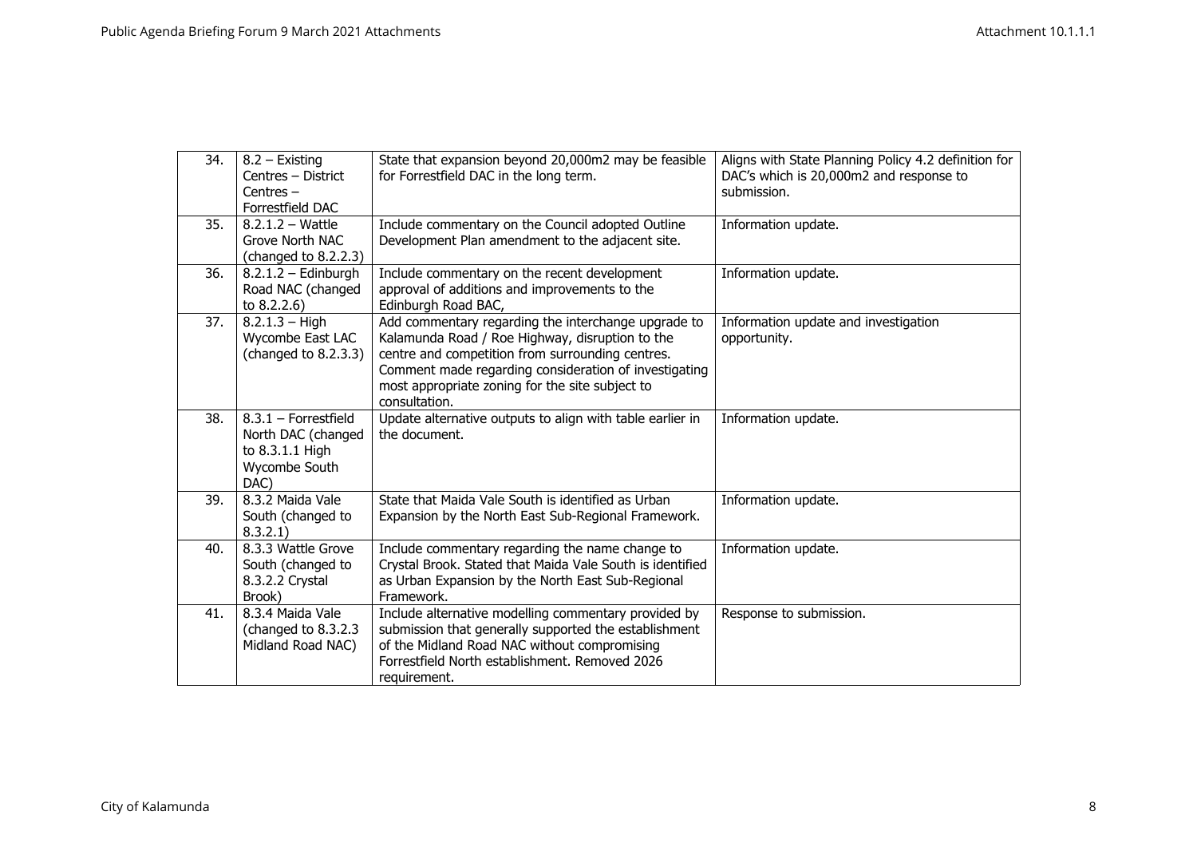| 34. | 8.2 - Existing            | State that expansion beyond 20,000m2 may be feasible                                                     | Aligns with State Planning Policy 4.2 definition for |
|-----|---------------------------|----------------------------------------------------------------------------------------------------------|------------------------------------------------------|
|     | Centres - District        | for Forrestfield DAC in the long term.                                                                   | DAC's which is 20,000m2 and response to              |
|     | Centres $-$               |                                                                                                          | submission.                                          |
|     | Forrestfield DAC          |                                                                                                          |                                                      |
| 35. | $8.2.1.2 - \text{Wattle}$ | Include commentary on the Council adopted Outline                                                        | Information update.                                  |
|     | Grove North NAC           | Development Plan amendment to the adjacent site.                                                         |                                                      |
|     | (changed to 8.2.2.3)      |                                                                                                          |                                                      |
| 36. | $8.2.1.2 -$ Edinburgh     | Include commentary on the recent development                                                             | Information update.                                  |
|     | Road NAC (changed         | approval of additions and improvements to the                                                            |                                                      |
|     | to $8.2.2.6$ )            | Edinburgh Road BAC,                                                                                      |                                                      |
| 37. | $8.2.1.3 - High$          | Add commentary regarding the interchange upgrade to                                                      | Information update and investigation                 |
|     | Wycombe East LAC          | Kalamunda Road / Roe Highway, disruption to the                                                          | opportunity.                                         |
|     | (changed to 8.2.3.3)      | centre and competition from surrounding centres.                                                         |                                                      |
|     |                           | Comment made regarding consideration of investigating<br>most appropriate zoning for the site subject to |                                                      |
|     |                           | consultation.                                                                                            |                                                      |
| 38. | $8.3.1$ – Forrestfield    | Update alternative outputs to align with table earlier in                                                | Information update.                                  |
|     | North DAC (changed        | the document.                                                                                            |                                                      |
|     | to 8.3.1.1 High           |                                                                                                          |                                                      |
|     | Wycombe South             |                                                                                                          |                                                      |
|     | DAC)                      |                                                                                                          |                                                      |
| 39. | 8.3.2 Maida Vale          | State that Maida Vale South is identified as Urban                                                       | Information update.                                  |
|     | South (changed to         | Expansion by the North East Sub-Regional Framework.                                                      |                                                      |
|     | 8.3.2.1)                  |                                                                                                          |                                                      |
| 40. | 8.3.3 Wattle Grove        | Include commentary regarding the name change to                                                          | Information update.                                  |
|     | South (changed to         | Crystal Brook. Stated that Maida Vale South is identified                                                |                                                      |
|     | 8.3.2.2 Crystal           | as Urban Expansion by the North East Sub-Regional                                                        |                                                      |
|     | Brook)                    | Framework.                                                                                               |                                                      |
| 41. | 8.3.4 Maida Vale          | Include alternative modelling commentary provided by                                                     | Response to submission.                              |
|     | (changed to 8.3.2.3)      | submission that generally supported the establishment                                                    |                                                      |
|     | Midland Road NAC)         | of the Midland Road NAC without compromising                                                             |                                                      |
|     |                           | Forrestfield North establishment. Removed 2026                                                           |                                                      |
|     |                           | requirement.                                                                                             |                                                      |